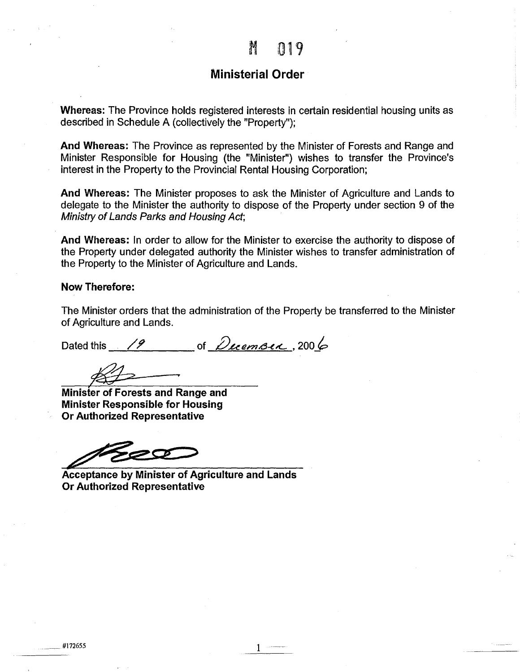## **Ministerial Order**

**Whereas:** The Province holds registered interests in certain residential housing units as described in Schedule A (collectively the "Property");

**And Whereas:** The Province as represented by the Minister of Forests and Range and Minister Responsible for Housing (the "Minister'') wishes to transfer the Province's interest in the Property to the Provincial Rental Housing Corporation;

**And Whereas:** The Minister proposes to ask the Minister of Agriculture and Lands to delegate to the Minister the authority to dispose of the Property under section 9 of the Ministry of Lands Parks and Housing Act;

**And Whereas:** In order to allow for the Minister to exercise the authority to dispose of the Property under delegated authority the Minister wishes to transfer administration of the Property to the Minister of Agriculture and Lands.

## **Now Therefore:**

The Minister orders that the administration of the Property be transferred to the Minister of Agriculture and Lands.

Dated this  $\frac{19}{\sqrt{2}}$  of *December*, 2006

**Minisfer of Forests and Range and Minister Responsible for Housing Or Authorized Representative** 

500

**Acceptance by Minister of Agriculture and Lands Or Authorized Representative**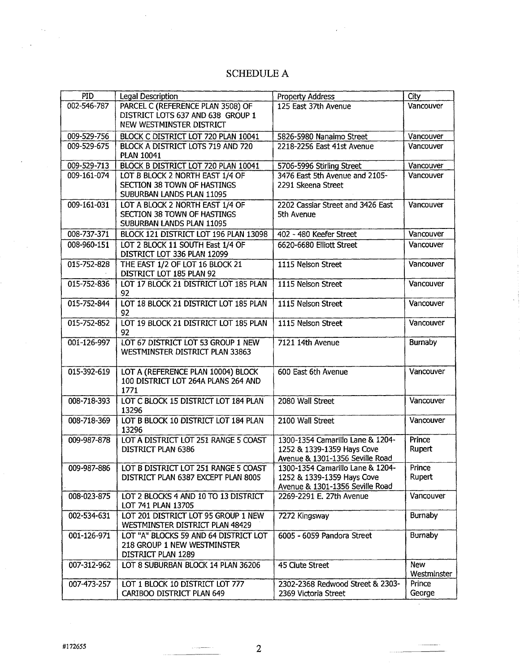## SCHEDULE A

| PID         | <b>Legal Description</b>              | Property Address                  | City        |
|-------------|---------------------------------------|-----------------------------------|-------------|
| 002-546-787 | PARCEL C (REFERENCE PLAN 3508) OF     | 125 East 37th Avenue              | Vancouver   |
|             | DISTRICT LOTS 637 AND 638 GROUP 1     |                                   |             |
|             |                                       |                                   |             |
|             | NEW WESTMINSTER DISTRICT              |                                   |             |
| 009-529-756 | BLOCK C DISTRICT LOT 720 PLAN 10041   | 5826-5980 Nanaimo Street          | Vancouver   |
| 009-529-675 | BLOCK A DISTRICT LOTS 719 AND 720     | 2218-2256 East 41st Avenue        | Vancouver   |
|             | <b>PLAN 10041</b>                     |                                   |             |
| 009-529-713 | BLOCK B DISTRICT LOT 720 PLAN 10041   | 5706-5996 Stirling Street         | Vancouver   |
| 009-161-074 | LOT B BLOCK 2 NORTH EAST 1/4 OF       | 3476 East 5th Avenue and 2105-    | Vancouver   |
|             | SECTION 38 TOWN OF HASTINGS           | 2291 Skeena Street                |             |
|             | SUBURBAN LANDS PLAN 11095             |                                   |             |
| 009-161-031 | LOT A BLOCK 2 NORTH EAST 1/4 OF       | 2202 Cassiar Street and 3426 East | Vancouver   |
|             | <b>SECTION 38 TOWN OF HASTINGS</b>    | 5th Avenue                        |             |
|             | SUBURBAN LANDS PLAN 11095             |                                   |             |
|             |                                       |                                   | Vancouver   |
| 008-737-371 | BLOCK 121 DISTRICT LOT 196 PLAN 13098 | 402 - 480 Keefer Street           |             |
| 008-960-151 | LOT 2 BLOCK 11 SOUTH East 1/4 OF      | 6620-6680 Elliott Street          | Vancouver   |
|             | DISTRICT LOT 336 PLAN 12099           |                                   |             |
| 015-752-828 | THE EAST 1/2 OF LOT 16 BLOCK 21       | 1115 Nelson Street                | Vancouver   |
|             | DISTRICT LOT 185 PLAN 92              |                                   |             |
| 015-752-836 | LOT 17 BLOCK 21 DISTRICT LOT 185 PLAN | 1115 Nelson Street                | Vancouver   |
|             | 92                                    |                                   |             |
| 015-752-844 | LOT 18 BLOCK 21 DISTRICT LOT 185 PLAN | 1115 Nelson Street                | Vancouver   |
|             | 92                                    |                                   |             |
| 015-752-852 | LOT 19 BLOCK 21 DISTRICT LOT 185 PLAN | 1115 Nelson Street                | Vancouver   |
|             | 92                                    |                                   |             |
| 001-126-997 | LOT 67 DISTRICT LOT 53 GROUP 1 NEW    | 7121 14th Avenue                  | Burnaby     |
|             | WESTMINSTER DISTRICT PLAN 33863       |                                   |             |
|             |                                       |                                   |             |
|             |                                       |                                   |             |
| 015-392-619 | LOT A (REFERENCE PLAN 10004) BLOCK    | 600 East 6th Avenue               | Vancouver   |
|             | 100 DISTRICT LOT 264A PLANS 264 AND   |                                   |             |
|             | 1771                                  |                                   |             |
| 008-718-393 | LOT C BLOCK 15 DISTRICT LOT 184 PLAN  | 2080 Wall Street                  | Vancouver   |
|             | 13296                                 |                                   |             |
| 008-718-369 | LOT B BLOCK 10 DISTRICT LOT 184 PLAN  | 2100 Wall Street                  | Vancouver   |
|             | 13296                                 |                                   |             |
| 009-987-878 | LOT A DISTRICT LOT 251 RANGE 5 COAST  | 1300-1354 Camarillo Lane & 1204-  | Prince      |
|             | DISTRICT PLAN 6386                    | 1252 & 1339-1359 Hays Cove        | Rupert      |
|             |                                       | Avenue & 1301-1356 Seville Road   |             |
| 009-987-886 | LOT B DISTRICT LOT 251 RANGE 5 COAST  | 1300-1354 Camarillo Lane & 1204-  | Prince      |
|             | DISTRICT PLAN 6387 EXCEPT PLAN 8005   | 1252 & 1339-1359 Hays Cove        | Rupert      |
|             |                                       | Avenue & 1301-1356 Seville Road   |             |
| 008-023-875 | LOT 2 BLOCKS 4 AND 10 TO 13 DISTRICT  | 2269-2291 E. 27th Avenue          | Vancouver   |
|             | LOT 741 PLAN 13705                    |                                   |             |
| 002-534-631 | LOT 201 DISTRICT LOT 95 GROUP 1 NEW   | 7272 Kingsway                     | Burnaby     |
|             | WESTMINSTER DISTRICT PLAN 48429       |                                   |             |
|             |                                       |                                   |             |
| 001-126-971 | LOT "A" BLOCKS 59 AND 64 DISTRICT LOT | 6005 - 6059 Pandora Street        | Burnaby     |
|             | 218 GROUP 1 NEW WESTMINSTER           |                                   |             |
|             | DISTRICT PLAN 1289                    |                                   |             |
| 007-312-962 | LOT 8 SUBURBAN BLOCK 14 PLAN 36206    | 45 Clute Street                   | New         |
|             |                                       |                                   | Westminster |
| 007-473-257 | LOT 1 BLOCK 10 DISTRICT LOT 777       | 2302-2368 Redwood Street & 2303-  | Prince      |
|             | CARIBOO DISTRICT PLAN 649             | 2369 Victoria Street              | George      |

 $\mathbf{v}_{\mathrm{in}}$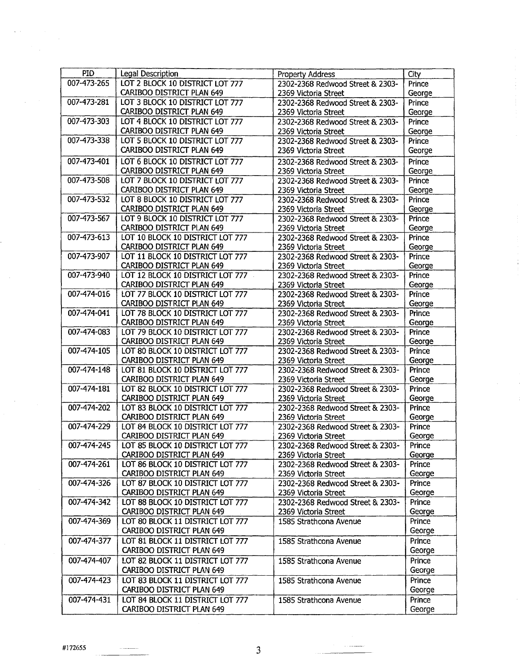| <b>PID</b>  | Legal Description                                             | Property Address                                         | City             |
|-------------|---------------------------------------------------------------|----------------------------------------------------------|------------------|
| 007-473-265 | LOT 2 BLOCK 10 DISTRICT LOT 777                               | 2302-2368 Redwood Street & 2303-                         | Prince           |
|             | CARIBOO DISTRICT PLAN 649                                     | 2369 Victoria Street                                     | George           |
| 007-473-281 | LOT 3 BLOCK 10 DISTRICT LOT 777                               | 2302-2368 Redwood Street & 2303-                         | Prince           |
|             | CARIBOO DISTRICT PLAN 649                                     | 2369 Victoria Street                                     | George           |
| 007-473-303 | LOT 4 BLOCK 10 DISTRICT LOT 777                               | 2302-2368 Redwood Street & 2303-                         | Prince           |
|             | CARIBOO DISTRICT PLAN 649                                     | 2369 Victoria Street                                     | George           |
| 007-473-338 | LOT 5 BLOCK 10 DISTRICT LOT 777                               | 2302-2368 Redwood Street & 2303-                         | Prince           |
|             | CARIBOO DISTRICT PLAN 649                                     | 2369 Victoria Street                                     | George           |
| 007-473-401 | LOT 6 BLOCK 10 DISTRICT LOT 777                               | 2302-2368 Redwood Street & 2303-                         | Prince           |
|             | <b>CARIBOO DISTRICT PLAN 649</b>                              | 2369 Victoria Street                                     | George           |
| 007-473-508 | LOT 7 BLOCK 10 DISTRICT LOT 777                               | 2302-2368 Redwood Street & 2303-                         | Prince           |
|             | <b>CARIBOO DISTRICT PLAN 649</b>                              | 2369 Victoria Street                                     | George           |
| 007-473-532 | LOT 8 BLOCK 10 DISTRICT LOT 777                               | 2302-2368 Redwood Street & 2303-                         | Prince           |
|             | CARIBOO DISTRICT PLAN 649                                     | 2369 Victoria Street                                     | George           |
| 007-473-567 | LOT 9 BLOCK 10 DISTRICT LOT 777                               | 2302-2368 Redwood Street & 2303-                         | Prince           |
|             | CARIBOO DISTRICT PLAN 649                                     | 2369 Victoria Street                                     | George           |
| 007-473-613 | LOT 10 BLOCK 10 DISTRICT LOT 777                              | 2302-2368 Redwood Street & 2303-                         | Prince           |
|             | CARIBOO DISTRICT PLAN 649                                     | 2369 Victoria Street                                     | George           |
| 007-473-907 | LOT 11 BLOCK 10 DISTRICT LOT 777                              | 2302-2368 Redwood Street & 2303-                         | Prince           |
|             | CARIBOO DISTRICT PLAN 649                                     | 2369 Victoria Street                                     | George           |
| 007-473-940 | LOT 12 BLOCK 10 DISTRICT LOT 777                              | 2302-2368 Redwood Street & 2303-                         | Prince           |
|             | CARIBOO DISTRICT PLAN 649                                     | 2369 Victoria Street                                     | George           |
| 007-474-016 | LOT 77 BLOCK 10 DISTRICT LOT 777                              | 2302-2368 Redwood Street & 2303-                         | Prince           |
|             | CARIBOO DISTRICT PLAN 649                                     | 2369 Victoria Street                                     | George           |
| 007-474-041 | LOT 78 BLOCK 10 DISTRICT LOT 777                              | 2302-2368 Redwood Street & 2303-                         | Prince           |
|             | CARIBOO DISTRICT PLAN 649                                     | 2369 Victoria Street                                     | George           |
| 007-474-083 | LOT 79 BLOCK 10 DISTRICT LOT 777                              | 2302-2368 Redwood Street & 2303-                         | Prince           |
|             | CARIBOO DISTRICT PLAN 649                                     | 2369 Victoria Street                                     | George           |
| 007-474-105 | LOT 80 BLOCK 10 DISTRICT LOT 777                              | 2302-2368 Redwood Street & 2303-                         | Prince           |
|             | CARIBOO DISTRICT PLAN 649                                     | 2369 Victoria Street                                     | George           |
| 007-474-148 | LOT 81 BLOCK 10 DISTRICT LOT 777                              | 2302-2368 Redwood Street & 2303-                         | Prince           |
|             | CARIBOO DISTRICT PLAN 649                                     | 2369 Victoria Street                                     | George           |
| 007-474-181 | LOT 82 BLOCK 10 DISTRICT LOT 777                              | 2302-2368 Redwood Street & 2303-                         | Prince           |
|             | CARIBOO DISTRICT PLAN 649<br>LOT 83 BLOCK 10 DISTRICT LOT 777 | 2369 Victoria Street                                     | George           |
| 007-474-202 | CARIBOO DISTRICT PLAN 649                                     | 2302-2368 Redwood Street & 2303-                         | Prince<br>George |
| 007-474-229 | LOT 84 BLOCK 10 DISTRICT LOT 777                              | 2369 Victoria Street                                     | Prince           |
|             |                                                               | 2302-2368 Redwood Street & 2303-                         |                  |
| 007-474-245 | CARIBOO DISTRICT PLAN 649<br>LOT 85 BLOCK 10 DISTRICT LOT 777 | 2369 Victoria Street<br>2302-2368 Redwood Street & 2303- | George<br>Prince |
|             | CARIBOO DISTRICT PLAN 649                                     | 2369 Victoria Street                                     | George           |
| 007-474-261 | LOT 86 BLOCK 10 DISTRICT LOT 777                              | 2302-2368 Redwood Street & 2303-                         | Prince           |
|             | CARIBOO DISTRICT PLAN 649                                     | 2369 Victoria Street                                     | George           |
| 007-474-326 | LOT 87 BLOCK 10 DISTRICT LOT 777                              | 2302-2368 Redwood Street & 2303-                         | Prince           |
|             | CARIBOO DISTRICT PLAN 649                                     | 2369 Victoria Street                                     | George           |
| 007-474-342 | LOT 88 BLOCK 10 DISTRICT LOT 777                              | 2302-2368 Redwood Street & 2303-                         | Prince           |
|             | CARIBOO DISTRICT PLAN 649                                     | 2369 Victoria Street                                     | George           |
| 007-474-369 | LOT 80 BLOCK 11 DISTRICT LOT 777                              | 1585 Strathcona Avenue                                   | Prince           |
|             | CARIBOO DISTRICT PLAN 649                                     |                                                          | George           |
| 007-474-377 | LOT 81 BLOCK 11 DISTRICT LOT 777                              | 1585 Strathcona Avenue                                   | Prince           |
|             | CARIBOO DISTRICT PLAN 649                                     |                                                          | George           |
| 007-474-407 | LOT 82 BLOCK 11 DISTRICT LOT 777                              | 1585 Strathcona Avenue                                   | Prince           |
|             | CARIBOO DISTRICT PLAN 649                                     |                                                          | George           |
| 007-474-423 | LOT 83 BLOCK 11 DISTRICT LOT 777                              | 1585 Strathcona Avenue                                   | Prince           |
|             | <b>CARIBOO DISTRICT PLAN 649</b>                              |                                                          | George           |
| 007-474-431 | LOT 84 BLOCK 11 DISTRICT LOT 777                              | 1585 Strathcona Avenue                                   | Prince           |
|             | CARIBOO DISTRICT PLAN 649                                     |                                                          | George           |

 $\Delta \sim 10^7$ 

 $\sim$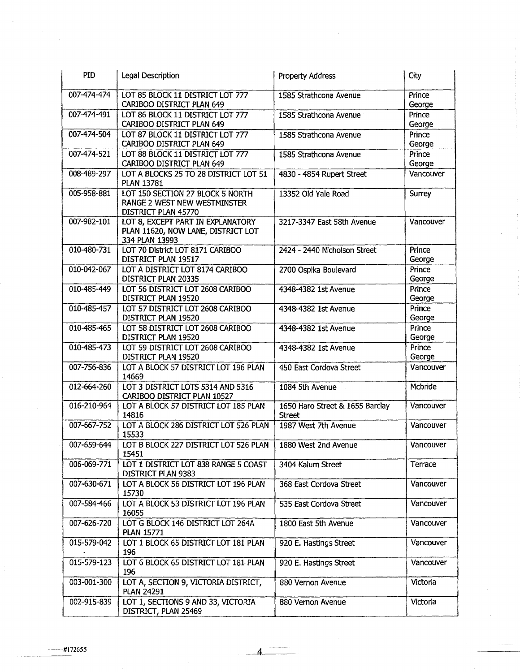| PID         | Legal Description                                                                         | <b>Property Address</b>                          | <b>City</b>      |
|-------------|-------------------------------------------------------------------------------------------|--------------------------------------------------|------------------|
| 007-474-474 | LOT 85 BLOCK 11 DISTRICT LOT 777<br>CARIBOO DISTRICT PLAN 649                             | 1585 Strathcona Avenue                           | Prince<br>George |
| 007-474-491 | LOT 86 BLOCK 11 DISTRICT LOT 777<br>CARIBOO DISTRICT PLAN 649                             | 1585 Strathcona Avenue                           | Prince<br>George |
| 007-474-504 | LOT 87 BLOCK 11 DISTRICT LOT 777<br>CARIBOO DISTRICT PLAN 649                             | 1585 Strathcona Avenue                           | Prince<br>George |
| 007-474-521 | LOT 88 BLOCK 11 DISTRICT LOT 777<br>CARIBOO DISTRICT PLAN 649                             | 1585 Strathcona Avenue                           | Prince<br>George |
| 008-489-297 | LOT A BLOCKS 25 TO 28 DISTRICT LOT 51<br><b>PLAN 13781</b>                                | 4830 - 4854 Rupert Street                        | Vancouver        |
| 005-958-881 | LOT 150 SECTION 27 BLOCK 5 NORTH<br>RANGE 2 WEST NEW WESTMINSTER<br>DISTRICT PLAN 45770   | 13352 Old Yale Road                              | Surrey           |
| 007-982-101 | LOT 8, EXCEPT PART IN EXPLANATORY<br>PLAN 11620, NOW LANE, DISTRICT LOT<br>334 PLAN 13993 | 3217-3347 East 58th Avenue                       | Vancouver        |
| 010-480-731 | LOT 70 District LOT 8171 CARIBOO<br>DISTRICT PLAN 19517                                   | 2424 - 2440 Nicholson Street                     | Prince<br>George |
| 010-042-067 | LOT A DISTRICT LOT 8174 CARIBOO<br>DISTRICT PLAN 20335                                    | 2700 Ospika Boulevard                            | Prince<br>George |
| 010-485-449 | LOT 56 DISTRICT LOT 2608 CARIBOO<br>DISTRICT PLAN 19520                                   | 4348-4382 1st Avenue                             | Prince<br>George |
| 010-485-457 | LOT 57 DISTRICT LOT 2608 CARIBOO<br>DISTRICT PLAN 19520                                   | 4348-4382 1st Avenue                             | Prince<br>George |
| 010-485-465 | LOT 58 DISTRICT LOT 2608 CARIBOO<br>DISTRICT PLAN 19520                                   | 4348-4382 1st Avenue                             | Prince<br>George |
| 010-485-473 | LOT 59 DISTRICT LOT 2608 CARIBOO<br>DISTRICT PLAN 19520                                   | 4348-4382 1st Avenue                             | Prince<br>George |
| 007-756-836 | LOT A BLOCK 57 DISTRICT LOT 196 PLAN<br>14669                                             | 450 East Cordova Street                          | Vancouver        |
| 012-664-260 | LOT 3 DISTRICT LOTS 5314 AND 5316<br>CARIBOO DISTRICT PLAN 10527                          | 1084 5th Avenue                                  | Mcbride          |
| 016-210-964 | LOT A BLOCK 57 DISTRICT LOT 185 PLAN<br>14816                                             | 1650 Haro Street & 1655 Barclay<br><b>Street</b> | Vancouver        |
| 007-667-752 | LOT A BLOCK 286 DISTRICT LOT 526 PLAN<br>15533                                            | 1987 West 7th Avenue                             | Vancouver        |
| 007-659-644 | LOT B BLOCK 227 DISTRICT LOT 526 PLAN<br>15451                                            | 1880 West 2nd Avenue                             | Vancouver        |
| 006-069-771 | LOT 1 DISTRICT LOT 838 RANGE 5 COAST<br>DISTRICT PLAN 9383                                | 3404 Kalum Street                                | Terrace          |
| 007-630-671 | LOT A BLOCK 56 DISTRICT LOT 196 PLAN<br>15730                                             | 368 East Cordova Street                          | Vancouver        |
| 007-584-466 | LOT A BLOCK 53 DISTRICT LOT 196 PLAN<br>16055                                             | 535 East Cordova Street                          | Vancouver        |
| 007-626-720 | LOT G BLOCK 146 DISTRICT LOT 264A<br><b>PLAN 15771</b>                                    | 1800 East 5th Avenue                             | Vancouver        |
| 015-579-042 | LOT 1 BLOCK 65 DISTRICT LOT 181 PLAN<br>196                                               | 920 E. Hastings Street                           | Vancouver        |
| 015-579-123 | LOT 6 BLOCK 65 DISTRICT LOT 181 PLAN<br>196                                               | 920 E. Hastings Street                           | Vancouver        |
| 003-001-300 | LOT A, SECTION 9, VICTORIA DISTRICT,<br><b>PLAN 24291</b>                                 | 880 Vernon Avenue                                | Victoria         |
| 002-915-839 | LOT 1, SECTIONS 9 AND 33, VICTORIA<br>DISTRICT, PLAN 25469                                | 880 Vernon Avenue                                | Victoria         |

 $\frac{1}{2}$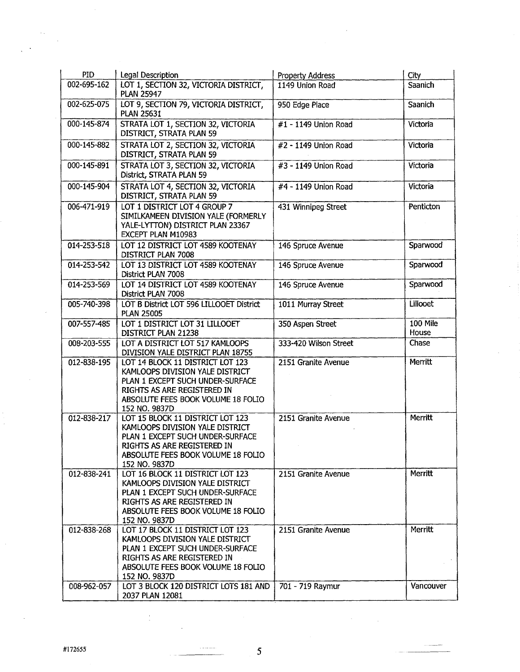| <b>PID</b>                 | <b>Legal Description</b>                                                                                                                                                                                                               | Property Address                        | City                 |
|----------------------------|----------------------------------------------------------------------------------------------------------------------------------------------------------------------------------------------------------------------------------------|-----------------------------------------|----------------------|
| 002-695-162                | LOT 1, SECTION 32, VICTORIA DISTRICT,<br><b>PLAN 25947</b>                                                                                                                                                                             | 1149 Union Road                         | Saanich              |
| 002-625-075                | LOT 9, SECTION 79, VICTORIA DISTRICT,<br><b>PLAN 25631</b>                                                                                                                                                                             | 950 Edge Place                          | Saanich              |
| 000-145-874                | STRATA LOT 1, SECTION 32, VICTORIA<br>DISTRICT, STRATA PLAN 59                                                                                                                                                                         | #1 - 1149 Union Road                    | Victoria             |
| 000-145-882                | STRATA LOT 2, SECTION 32, VICTORIA<br>DISTRICT, STRATA PLAN 59                                                                                                                                                                         | #2 - 1149 Union Road                    | Victoria             |
| 000-145-891                | STRATA LOT 3, SECTION 32, VICTORIA<br>District, STRATA PLAN 59                                                                                                                                                                         | #3 - 1149 Union Road                    | Victoria             |
| 000-145-904                | STRATA LOT 4, SECTION 32, VICTORIA<br>DISTRICT, STRATA PLAN 59                                                                                                                                                                         | #4 - 1149 Union Road                    | Victoria             |
| 006-471-919                | LOT 1 DISTRICT LOT 4 GROUP 7<br>SIMILKAMEEN DIVISION YALE (FORMERLY<br>YALE-LYTTON) DISTRICT PLAN 23367<br>EXCEPT PLAN M10983                                                                                                          | 431 Winnipeg Street                     | Penticton            |
| 014-253-518                | LOT 12 DISTRICT LOT 4589 KOOTENAY<br>DISTRICT PLAN 7008                                                                                                                                                                                | 146 Spruce Avenue                       | Sparwood             |
| 014-253-542                | LOT 13 DISTRICT LOT 4589 KOOTENAY<br>District PLAN 7008                                                                                                                                                                                | 146 Spruce Avenue                       | Sparwood             |
| 014-253-569                | LOT 14 DISTRICT LOT 4589 KOOTENAY<br>District PLAN 7008                                                                                                                                                                                | 146 Spruce Avenue                       | Sparwood             |
| 005-740-398                | LOT B District LOT 596 LILLOOET District<br><b>PLAN 25005</b>                                                                                                                                                                          | 1011 Murray Street                      | Lillooet             |
| 007-557-485                | LOT 1 DISTRICT LOT 31 LILLOOET<br>DISTRICT PLAN 21238                                                                                                                                                                                  | 350 Aspen Street                        | 100 Mile<br>House    |
| 008-203-555                | LOT A DISTRICT LOT 517 KAMLOOPS<br>DIVISION YALE DISTRICT PLAN 18755                                                                                                                                                                   | 333-420 Wilson Street                   | Chase                |
| 012-838-195                | LOT 14 BLOCK 11 DISTRICT LOT 123<br>KAMLOOPS DIVISION YALE DISTRICT<br>PLAN 1 EXCEPT SUCH UNDER-SURFACE<br>RIGHTS AS ARE REGISTERED IN<br>ABSOLUTE FEES BOOK VOLUME 18 FOLIO<br>152 NO. 9837D                                          | 2151 Granite Avenue                     | Merritt              |
| 012-838-217                | LOT 15 BLOCK 11 DISTRICT LOT 123<br>KAMLOOPS DIVISION YALE DISTRICT<br>PLAN 1 EXCEPT SUCH UNDER-SURFACE<br>RIGHTS AS ARE REGISTERED IN<br>ABSOLUTE FEES BOOK VOLUME 18 FOLIO<br>152 NO. 9837D                                          | 2151 Granite Avenue                     | Merritt              |
| 012-838-241                | LOT 16 BLOCK 11 DISTRICT LOT 123<br>KAMLOOPS DIVISION YALE DISTRICT<br>PLAN 1 EXCEPT SUCH UNDER-SURFACE<br>RIGHTS AS ARE REGISTERED IN<br>ABSOLUTE FEES BOOK VOLUME 18 FOLIO<br>152 NO. 9837D                                          | 2151 Granite Avenue                     | Merritt              |
| 012-838-268<br>008-962-057 | LOT 17 BLOCK 11 DISTRICT LOT 123<br>KAMLOOPS DIVISION YALE DISTRICT<br>PLAN 1 EXCEPT SUCH UNDER-SURFACE<br>RIGHTS AS ARE REGISTERED IN<br>ABSOLUTE FEES BOOK VOLUME 18 FOLIO<br>152 NO. 9837D<br>LOT 3 BLOCK 120 DISTRICT LOTS 181 AND | 2151 Granite Avenue<br>701 - 719 Raymur | Merritt<br>Vancouver |
|                            | 2037 PLAN 12081                                                                                                                                                                                                                        |                                         |                      |

 $\frac{1}{\epsilon}$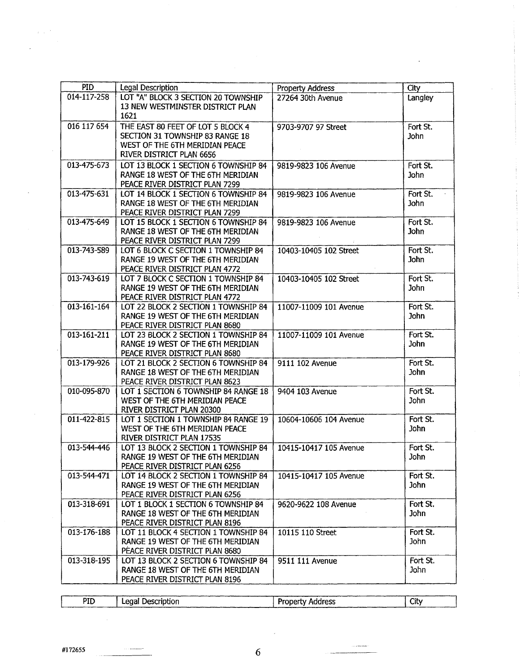| <b>PID</b><br><b>Legal Description</b>           |                                      | Property Address       | City        |
|--------------------------------------------------|--------------------------------------|------------------------|-------------|
| 014-117-258                                      | LOT "A" BLOCK 3 SECTION 20 TOWNSHIP  | 27264 30th Avenue      | Langley     |
|                                                  | 13 NEW WESTMINSTER DISTRICT PLAN     |                        |             |
| 1621                                             |                                      |                        |             |
| 016 117 654<br>THE EAST 80 FEET OF LOT 5 BLOCK 4 |                                      | 9703-9707 97 Street    | Fort St.    |
| SECTION 31 TOWNSHIP 83 RANGE 18                  |                                      |                        | John        |
| WEST OF THE 6TH MERIDIAN PEACE                   |                                      |                        |             |
| RIVER DISTRICT PLAN 6656                         |                                      |                        |             |
| 013-475-673                                      | LOT 13 BLOCK 1 SECTION 6 TOWNSHIP 84 | 9819-9823 106 Avenue   | Fort St.    |
| RANGE 18 WEST OF THE 6TH MERIDIAN                |                                      |                        | <b>John</b> |
| PEACE RIVER DISTRICT PLAN 7299                   |                                      |                        |             |
| 013-475-631                                      | LOT 14 BLOCK 1 SECTION 6 TOWNSHIP 84 | 9819-9823 106 Avenue   | Fort St.    |
| RANGE 18 WEST OF THE 6TH MERIDIAN                |                                      |                        | John        |
| PEACE RIVER DISTRICT PLAN 7299                   |                                      |                        |             |
| 013-475-649                                      | LOT 15 BLOCK 1 SECTION 6 TOWNSHIP 84 | 9819-9823 106 Avenue   | Fort St.    |
|                                                  | RANGE 18 WEST OF THE 6TH MERIDIAN    |                        | <b>John</b> |
| PEACE RIVER DISTRICT PLAN 7299                   |                                      |                        |             |
| 013-743-589                                      | LOT 6 BLOCK C SECTION 1 TOWNSHIP 84  | 10403-10405 102 Street | Fort St.    |
|                                                  | RANGE 19 WEST OF THE 6TH MERIDIAN    |                        | <b>John</b> |
| PEACE RIVER DISTRICT PLAN 4772                   |                                      |                        |             |
| 013-743-619                                      | LOT 7 BLOCK C SECTION 1 TOWNSHIP 84  | 10403-10405 102 Street | Fort St.    |
|                                                  | RANGE 19 WEST OF THE 6TH MERIDIAN    |                        | John        |
| PEACE RIVER DISTRICT PLAN 4772                   |                                      |                        |             |
| 013-161-164                                      | LOT 22 BLOCK 2 SECTION 1 TOWNSHIP 84 | 11007-11009 101 Avenue | Fort St.    |
|                                                  | RANGE 19 WEST OF THE 6TH MERIDIAN    |                        | <b>John</b> |
| PEACE RIVER DISTRICT PLAN 8680                   |                                      |                        |             |
| 013-161-211                                      | LOT 23 BLOCK 2 SECTION 1 TOWNSHIP 84 | 11007-11009 101 Avenue | Fort St.    |
|                                                  | RANGE 19 WEST OF THE 6TH MERIDIAN    |                        | <b>John</b> |
| PEACE RIVER DISTRICT PLAN 8680                   |                                      |                        |             |
| 013-179-926                                      | LOT 21 BLOCK 2 SECTION 6 TOWNSHIP 84 | 9111 102 Avenue        | Fort St.    |
|                                                  | RANGE 18 WEST OF THE 6TH MERIDIAN    |                        | John        |
| PEACE RIVER DISTRICT PLAN 8623                   |                                      |                        |             |
| 010-095-870                                      | LOT 1 SECTION 6 TOWNSHIP 84 RANGE 18 | 9404 103 Avenue        | Fort St.    |
| WEST OF THE 6TH MERIDIAN PEACE                   |                                      |                        | John        |
| RIVER DISTRICT PLAN 20300                        |                                      |                        |             |
| 011-422-815                                      | LOT 1 SECTION 1 TOWNSHIP 84 RANGE 19 | 10604-10606 104 Avenue | Fort St.    |
| WEST OF THE 6TH MERIDIAN PEACE                   |                                      |                        | <b>John</b> |
| RIVER DISTRICT PLAN 17535                        |                                      |                        |             |
| 013-544-446                                      | LOT 13 BLOCK 2 SECTION 1 TOWNSHIP 84 | 10415-10417 105 Avenue | Fort St.    |
|                                                  | RANGE 19 WEST OF THE 6TH MERIDIAN    |                        | John        |
| PEACE RIVER DISTRICT PLAN 6256                   |                                      |                        |             |
| 013-544-471                                      | LOT 14 BLOCK 2 SECTION 1 TOWNSHIP 84 | 10415-10417 105 Avenue | Fort St.    |
|                                                  | RANGE 19 WEST OF THE 6TH MERIDIAN    |                        | <b>John</b> |
| PEACE RIVER DISTRICT PLAN 6256                   |                                      |                        |             |
| 013-318-691                                      | LOT 1 BLOCK 1 SECTION 6 TOWNSHIP 84  | 9620-9622 108 Avenue   | Fort St.    |
|                                                  | RANGE 18 WEST OF THE 6TH MERIDIAN    |                        | John        |
| PEACE RIVER DISTRICT PLAN 8196                   |                                      |                        |             |
| 013-176-188                                      | LOT 11 BLOCK 4 SECTION 1 TOWNSHIP 84 | 10115 110 Street       | Fort St.    |
|                                                  | RANGE 19 WEST OF THE 6TH MERIDIAN    |                        | John        |
| PEACE RIVER DISTRICT PLAN 8680                   |                                      |                        |             |
| 013-318-195                                      | LOT 13 BLOCK 2 SECTION 6 TOWNSHIP 84 | 9511 111 Avenue        | Fort St.    |
|                                                  | RANGE 18 WEST OF THE 6TH MERIDIAN    |                        | John        |
| PEACE RIVER DISTRICT PLAN 8196                   |                                      |                        |             |

| PID | Legal Description | <b>Property Address</b> | City |
|-----|-------------------|-------------------------|------|
|     |                   |                         |      |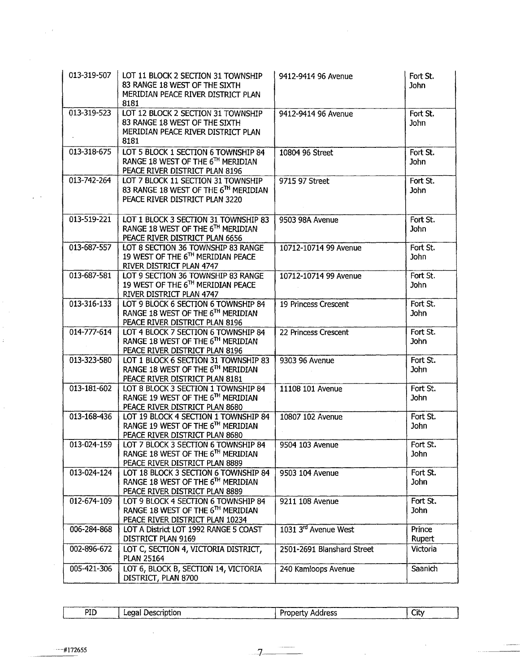| 013-319-507 | LOT 11 BLOCK 2 SECTION 31 TOWNSHIP<br>83 RANGE 18 WEST OF THE SIXTH<br>MERIDIAN PEACE RIVER DISTRICT PLAN<br>8181      | 9412-9414 96 Avenue        | Fort St.<br>John        |
|-------------|------------------------------------------------------------------------------------------------------------------------|----------------------------|-------------------------|
| 013-319-523 | LOT 12 BLOCK 2 SECTION 31 TOWNSHIP<br>83 RANGE 18 WEST OF THE SIXTH<br>MERIDIAN PEACE RIVER DISTRICT PLAN<br>8181      | 9412-9414 96 Avenue        | Fort St.<br>John        |
| 013-318-675 | LOT 5 BLOCK 1 SECTION 6 TOWNSHIP 84<br>RANGE 18 WEST OF THE 6TH MERIDIAN<br>PEACE RIVER DISTRICT PLAN 8196             | 10804 96 Street            | Fort St.<br>John        |
| 013-742-264 | LOT 7 BLOCK 11 SECTION 31 TOWNSHIP<br>83 RANGE 18 WEST OF THE 6TH MERIDIAN<br>PEACE RIVER DISTRICT PLAN 3220           | 9715 97 Street             | Fort St.<br>John        |
| 013-519-221 | LOT 1 BLOCK 3 SECTION 31 TOWNSHIP 83<br>RANGE 18 WEST OF THE 6TH MERIDIAN<br>PEACE RIVER DISTRICT PLAN 6656            | 9503 98A Avenue            | Fort St.<br>John        |
| 013-687-557 | LOT 8 SECTION 36 TOWNSHIP 83 RANGE<br>19 WEST OF THE 6TH MERIDIAN PEACE<br>RIVER DISTRICT PLAN 4747                    | 10712-10714 99 Avenue      | Fort St.<br>John        |
| 013-687-581 | LOT 9 SECTION 36 TOWNSHIP 83 RANGE<br>19 WEST OF THE 6TH MERIDIAN PEACE<br>RIVER DISTRICT PLAN 4747                    | 10712-10714 99 Avenue      | Fort St.<br><b>John</b> |
| 013-316-133 | LOT 9 BLOCK 6 SECTION 6 TOWNSHIP 84<br>RANGE 18 WEST OF THE 6TH MERIDIAN<br>PEACE RIVER DISTRICT PLAN 8196             | 19 Princess Crescent       | Fort St.<br><b>John</b> |
| 014-777-614 | LOT 4 BLOCK 7 SECTION 6 TOWNSHIP 84<br>RANGE 18 WEST OF THE 6TH MERIDIAN<br>PEACE RIVER DISTRICT PLAN 8196             | 22 Princess Crescent       | Fort St.<br><b>John</b> |
| 013-323-580 | LOT 1 BLOCK 6 SECTION 31 TOWNSHIP 83<br>RANGE 18 WEST OF THE 6TH MERIDIAN<br>PEACE RIVER DISTRICT PLAN 8181            | 9303 96 Avenue             | Fort St.<br>John        |
| 013-181-602 | LOT 8 BLOCK 3 SECTION 1 TOWNSHIP 84<br>RANGE 19 WEST OF THE 6TH MERIDIAN<br>PEACE RIVER DISTRICT PLAN 8680             | 11108 101 Avenue           | Fort St.<br>John        |
| 013-168-436 | LOT 19 BLOCK 4 SECTION 1 TOWNSHIP 84<br>RANGE 19 WEST OF THE 6TH MERIDIAN<br>PEACE RIVER DISTRICT PLAN 8680            | 10807 102 Avenue           | Fort St.<br>John        |
| 013-024-159 | LOT 7 BLOCK 3 SECTION 6 TOWNSHIP 84<br>RANGE 18 WEST OF THE 6 <sup>1H</sup> MERIDIAN<br>PEACE RIVER DISTRICT PLAN 8889 | 9504 103 Avenue            | Fort St.<br>John        |
| 013-024-124 | LOT 18 BLOCK 3 SECTION 6 TOWNSHIP 84<br>RANGE 18 WEST OF THE 6TH MERIDIAN<br>PEACE RIVER DISTRICT PLAN 8889            | 9503 104 Avenue            | Fort St.<br>John        |
| 012-674-109 | LOT 9 BLOCK 4 SECTION 6 TOWNSHIP 84<br>RANGE 18 WEST OF THE 6TH MERIDIAN<br>PEACE RIVER DISTRICT PLAN 10234            | 9211 108 Avenue            | Fort St.<br>John        |
| 006-284-868 | LOT A District LOT 1992 RANGE 5 COAST<br>DISTRICT PLAN 9169                                                            | 1031 3rd Avenue West       | Prince<br>Rupert        |
| 002-896-672 | LOT C, SECTION 4, VICTORIA DISTRICT,<br><b>PLAN 25164</b>                                                              | 2501-2691 Blanshard Street | Victoria                |
| 005-421-306 | LOT 6, BLOCK B, SECTION 14, VICTORIA<br>DISTRICT, PLAN 8700                                                            | 240 Kamloops Avenue        | Saanich                 |

| PID | Description<br>Legal : | Address<br>Property | City |
|-----|------------------------|---------------------|------|

7

 $\beta$ 

 $\ddot{\phantom{a}}$ 

 $\hat{\mathbb{I}}$ 

 $\hat{\mathcal{E}}$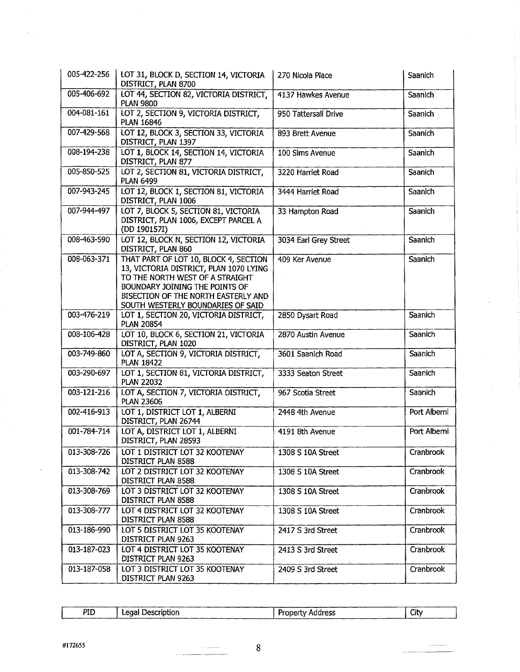| 005-422-256 | LOT 31, BLOCK D, SECTION 14, VICTORIA<br>DISTRICT, PLAN 8700                                                                                                                                                                     | 270 Nicola Place      | Saanich      |
|-------------|----------------------------------------------------------------------------------------------------------------------------------------------------------------------------------------------------------------------------------|-----------------------|--------------|
| 005-406-692 | LOT 44, SECTION 82, VICTORIA DISTRICT,<br><b>PLAN 9800</b>                                                                                                                                                                       | 4137 Hawkes Avenue    | Saanich      |
| 004-081-161 | LOT 2, SECTION 9, VICTORIA DISTRICT,<br><b>PLAN 16846</b>                                                                                                                                                                        | 950 Tattersall Drive  | Saanich      |
| 007-429-568 | LOT 12, BLOCK 3, SECTION 33, VICTORIA<br>DISTRICT, PLAN 1397                                                                                                                                                                     | 893 Brett Avenue      | Saanich      |
| 008-194-238 | LOT 1, BLOCK 14, SECTION 14, VICTORIA<br>DISTRICT, PLAN 877                                                                                                                                                                      | 100 Sims Avenue       | Saanich      |
| 005-850-525 | LOT 2, SECTION 81, VICTORIA DISTRICT,<br><b>PLAN 6499</b>                                                                                                                                                                        | 3220 Harriet Road     | Saanich      |
| 007-943-245 | LOT 12, BLOCK 1, SECTION 81, VICTORIA<br>DISTRICT, PLAN 1006                                                                                                                                                                     | 3444 Harriet Road     | Saanich      |
| 007-944-497 | LOT 7, BLOCK 5, SECTION 81, VICTORIA<br>DISTRICT, PLAN 1006, EXCEPT PARCEL A<br>(DD 190157I)                                                                                                                                     | 33 Hampton Road       | Saanich      |
| 008-463-590 | LOT 12, BLOCK N, SECTION 12, VICTORIA<br>DISTRICT, PLAN 860                                                                                                                                                                      | 3034 Earl Grey Street | Saanich      |
| 008-063-371 | THAT PART OF LOT 10, BLOCK 4, SECTION<br>13, VICTORIA DISTRICT, PLAN 1070 LYING<br>TO THE NORTH WEST OF A STRAIGHT<br>BOUNDARY JOINING THE POINTS OF<br>BISECTION OF THE NORTH EASTERLY AND<br>SOUTH WESTERLY BOUNDARIES OF SAID | 409 Ker Avenue        | Saanich      |
| 003-476-219 | LOT 1, SECTION 20, VICTORIA DISTRICT,<br><b>PLAN 20854</b>                                                                                                                                                                       | 2850 Dysart Road      | Saanich      |
| 008-106-428 | LOT 10, BLOCK 6, SECTION 21, VICTORIA<br>DISTRICT, PLAN 1020                                                                                                                                                                     | 2870 Austin Avenue    | Saanich      |
| 003-749-860 | LOT A, SECTION 9, VICTORIA DISTRICT,<br><b>PLAN 18422</b>                                                                                                                                                                        | 3601 Saanich Road     | Saanich      |
| 003-290-697 | LOT 1, SECTION 81, VICTORIA DISTRICT,<br><b>PLAN 22032</b>                                                                                                                                                                       | 3333 Seaton Street    | Saanich      |
| 003-121-216 | LOT A, SECTION 7, VICTORIA DISTRICT,<br><b>PLAN 23606</b>                                                                                                                                                                        | 967 Scotia Street     | Saanich      |
| 002-416-913 | LOT 1, DISTRICT LOT 1, ALBERNI<br>DISTRICT, PLAN 26744                                                                                                                                                                           | 2448 4th Avenue       | Port Alberni |
| 001-784-714 | LOT A, DISTRICT LOT 1, ALBERNI<br>DISTRICT, PLAN 28593                                                                                                                                                                           | 4191 8th Avenue       | Port Alberni |
| 013-308-726 | LOT 1 DISTRICT LOT 32 KOOTENAY<br>DISTRICT PLAN 8588                                                                                                                                                                             | 1308 S 10A Street     | Cranbrook    |
| 013-308-742 | LOT 2 DISTRICT LOT 32 KOOTENAY<br>DISTRICT PLAN 8588                                                                                                                                                                             | 1308 S 10A Street     | Cranbrook    |
| 013-308-769 | LOT 3 DISTRICT LOT 32 KOOTENAY<br>DISTRICT PLAN 8588                                                                                                                                                                             | 1308 S 10A Street     | Cranbrook    |
| 013-308-777 | LOT 4 DISTRICT LOT 32 KOOTENAY<br>DISTRICT PLAN 8588                                                                                                                                                                             | 1308 S 10A Street     | Cranbrook    |
| 013-186-990 | LOT 5 DISTRICT LOT 35 KOOTENAY<br>DISTRICT PLAN 9263                                                                                                                                                                             | 2417 S 3rd Street     | Cranbrook    |
| 013-187-023 | LOT 4 DISTRICT LOT 35 KOOTENAY<br>DISTRICT PLAN 9263                                                                                                                                                                             | 2413 S 3rd Street     | Cranbrook    |
| 013-187-058 | LOT 3 DISTRICT LOT 35 KOOTENAY<br>DISTRICT PLAN 9263                                                                                                                                                                             | 2409 S 3rd Street     | Cranbrook    |

| <b>PID</b><br>City<br>Legal Description<br>Address<br>Property |  |  |
|----------------------------------------------------------------|--|--|
|                                                                |  |  |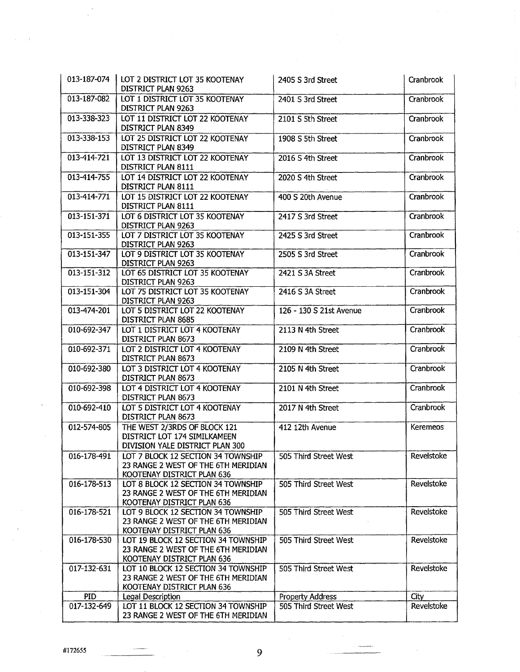| 013-187-074 | LOT 2 DISTRICT LOT 35 KOOTENAY<br>DISTRICT PLAN 9263                                                     | 2405 S 3rd Street       | Cranbrook       |
|-------------|----------------------------------------------------------------------------------------------------------|-------------------------|-----------------|
| 013-187-082 | LOT 1 DISTRICT LOT 35 KOOTENAY<br>DISTRICT PLAN 9263                                                     | 2401 S 3rd Street       | Cranbrook       |
| 013-338-323 | LOT 11 DISTRICT LOT 22 KOOTENAY<br>DISTRICT PLAN 8349                                                    | 2101 S 5th Street       | Cranbrook       |
| 013-338-153 | LOT 25 DISTRICT LOT 22 KOOTENAY<br>DISTRICT PLAN 8349                                                    | 1908 S 5th Street       | Cranbrook       |
| 013-414-721 | LOT 13 DISTRICT LOT 22 KOOTENAY<br>DISTRICT PLAN 8111                                                    | 2016 S 4th Street       | Cranbrook       |
| 013-414-755 | LOT 14 DISTRICT LOT 22 KOOTENAY<br>DISTRICT PLAN 8111                                                    | 2020 S 4th Street       | Cranbrook       |
| 013-414-771 | LOT 15 DISTRICT LOT 22 KOOTENAY<br>DISTRICT PLAN 8111                                                    | 400 S 20th Avenue       | Cranbrook       |
| 013-151-371 | LOT 6 DISTRICT LOT 35 KOOTENAY<br>DISTRICT PLAN 9263                                                     | 2417 S 3rd Street       | Cranbrook       |
| 013-151-355 | LOT 7 DISTRICT LOT 35 KOOTENAY<br>DISTRICT PLAN 9263                                                     | 2425 S 3rd Street       | Cranbrook       |
| 013-151-347 | LOT 9 DISTRICT LOT 35 KOOTENAY<br>DISTRICT PLAN 9263                                                     | 2505 S 3rd Street       | Cranbrook       |
| 013-151-312 | LOT 65 DISTRICT LOT 35 KOOTENAY<br>DISTRICT PLAN 9263                                                    | 2421 S 3A Street        | Cranbrook       |
| 013-151-304 | LOT 75 DISTRICT LOT 35 KOOTENAY<br>DISTRICT PLAN 9263                                                    | 2416 S 3A Street        | Cranbrook       |
| 013-474-201 | LOT 5 DISTRICT LOT 22 KOOTENAY<br>DISTRICT PLAN 8685                                                     | 126 - 130 S 21st Avenue | Cranbrook       |
| 010-692-347 | LOT 1 DISTRICT LOT 4 KOOTENAY<br>DISTRICT PLAN 8673                                                      | 2113 N 4th Street       | Cranbrook       |
| 010-692-371 | LOT 2 DISTRICT LOT 4 KOOTENAY<br>DISTRICT PLAN 8673                                                      | 2109 N 4th Street       | Cranbrook       |
| 010-692-380 | LOT 3 DISTRICT LOT 4 KOOTENAY<br>DISTRICT PLAN 8673                                                      | 2105 N 4th Street       | Cranbrook       |
| 010-692-398 | LOT 4 DISTRICT LOT 4 KOOTENAY<br>DISTRICT PLAN 8673                                                      | 2101 N 4th Street       | Cranbrook       |
| 010-692-410 | LOT 5 DISTRICT LOT 4 KOOTENAY<br>DISTRICT PLAN 8673                                                      | 2017 N 4th Street       | Cranbrook       |
| 012-574-805 | THE WEST 2/3RDS OF BLOCK 121<br>DISTRICT LOT 174 SIMILKAMEEN<br>DIVISION YALE DISTRICT PLAN 300          | 412 12th Avenue         | <b>Keremeos</b> |
| 016-178-491 | LOT 7 BLOCK 12 SECTION 34 TOWNSHIP<br>23 RANGE 2 WEST OF THE 6TH MERIDIAN<br>KOOTENAY DISTRICT PLAN 636  | 505 Third Street West   | Revelstoke      |
| 016-178-513 | LOT 8 BLOCK 12 SECTION 34 TOWNSHIP<br>23 RANGE 2 WEST OF THE 6TH MERIDIAN<br>KOOTENAY DISTRICT PLAN 636  | 505 Third Street West   | Revelstoke      |
| 016-178-521 | LOT 9 BLOCK 12 SECTION 34 TOWNSHIP<br>23 RANGE 2 WEST OF THE 6TH MERIDIAN<br>KOOTENAY DISTRICT PLAN 636  | 505 Third Street West   | Revelstoke      |
| 016-178-530 | LOT 19 BLOCK 12 SECTION 34 TOWNSHIP<br>23 RANGE 2 WEST OF THE 6TH MERIDIAN<br>KOOTENAY DISTRICT PLAN 636 | 505 Third Street West   | Revelstoke      |
| 017-132-631 | LOT 10 BLOCK 12 SECTION 34 TOWNSHIP<br>23 RANGE 2 WEST OF THE 6TH MERIDIAN<br>KOOTENAY DISTRICT PLAN 636 | 505 Third Street West   | Revelstoke      |
| <b>PID</b>  | Legal Description                                                                                        | <b>Property Address</b> | City            |
| 017-132-649 | LOT 11 BLOCK 12 SECTION 34 TOWNSHIP<br>23 RANGE 2 WEST OF THE 6TH MERIDIAN                               | 505 Third Street West   | Revelstoke      |